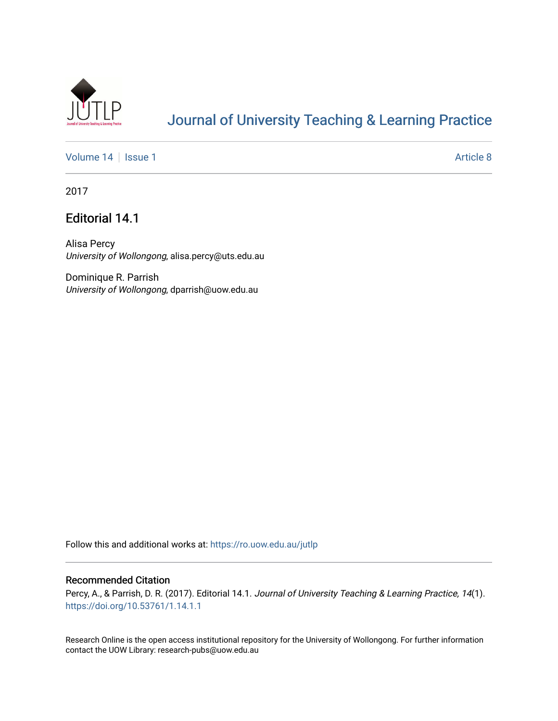

# [Journal of University Teaching & Learning Practice](https://ro.uow.edu.au/jutlp)

[Volume 14](https://ro.uow.edu.au/jutlp/vol14) | [Issue 1](https://ro.uow.edu.au/jutlp/vol14/iss1) Article 8

2017

### Editorial 14.1

Alisa Percy University of Wollongong, alisa.percy@uts.edu.au

Dominique R. Parrish University of Wollongong, dparrish@uow.edu.au

Follow this and additional works at: [https://ro.uow.edu.au/jutlp](https://ro.uow.edu.au/jutlp?utm_source=ro.uow.edu.au%2Fjutlp%2Fvol14%2Fiss1%2F8&utm_medium=PDF&utm_campaign=PDFCoverPages) 

#### Recommended Citation

Percy, A., & Parrish, D. R. (2017). Editorial 14.1. Journal of University Teaching & Learning Practice, 14(1). <https://doi.org/10.53761/1.14.1.1>

Research Online is the open access institutional repository for the University of Wollongong. For further information contact the UOW Library: research-pubs@uow.edu.au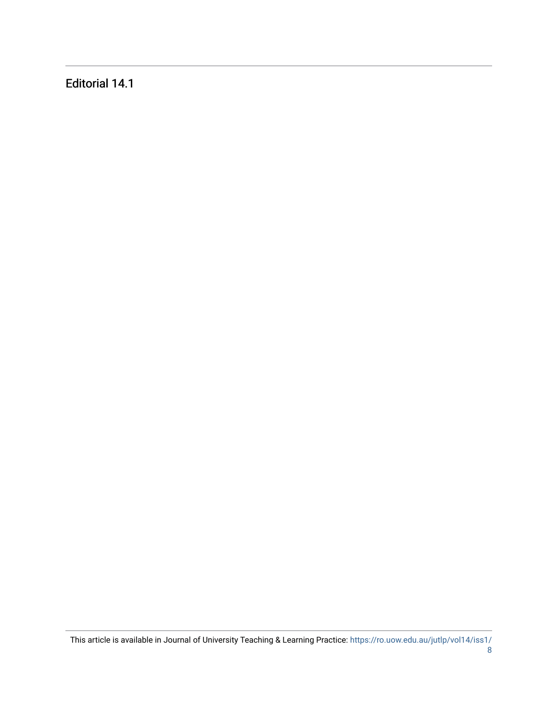Editorial 14.1

This article is available in Journal of University Teaching & Learning Practice: [https://ro.uow.edu.au/jutlp/vol14/iss1/](https://ro.uow.edu.au/jutlp/vol14/iss1/8)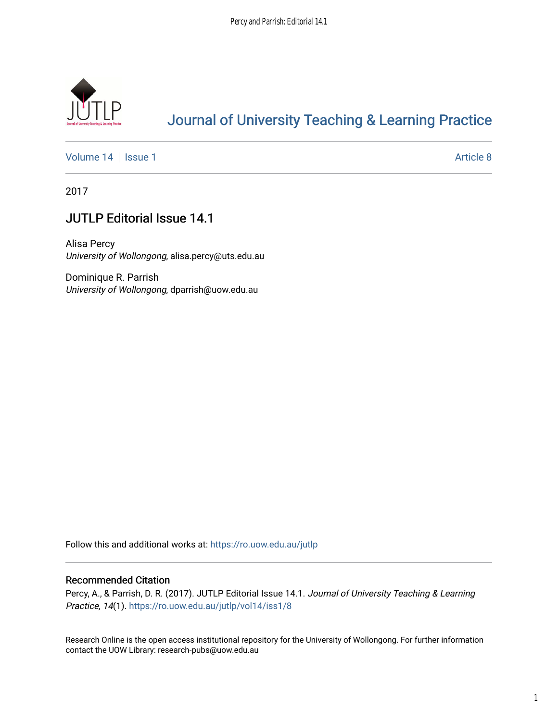

## [Journal of University Teaching & Learning Practice](https://ro.uow.edu.au/jutlp)

[Volume 14](https://ro.uow.edu.au/jutlp/vol14) | [Issue 1](https://ro.uow.edu.au/jutlp/vol14/iss1) Article 8

2017

## JUTLP Editorial Issue 14.1

Alisa Percy University of Wollongong, alisa.percy@uts.edu.au

Dominique R. Parrish University of Wollongong, dparrish@uow.edu.au

Follow this and additional works at: [https://ro.uow.edu.au/jutlp](https://ro.uow.edu.au/jutlp?utm_source=ro.uow.edu.au%2Fjutlp%2Fvol14%2Fiss1%2F8&utm_medium=PDF&utm_campaign=PDFCoverPages) 

#### Recommended Citation

Percy, A., & Parrish, D. R. (2017). JUTLP Editorial Issue 14.1. Journal of University Teaching & Learning Practice, 14(1). [https://ro.uow.edu.au/jutlp/vol14/iss1/8](https://ro.uow.edu.au/jutlp/vol14/iss1/8?utm_source=ro.uow.edu.au%2Fjutlp%2Fvol14%2Fiss1%2F8&utm_medium=PDF&utm_campaign=PDFCoverPages)

Research Online is the open access institutional repository for the University of Wollongong. For further information contact the UOW Library: research-pubs@uow.edu.au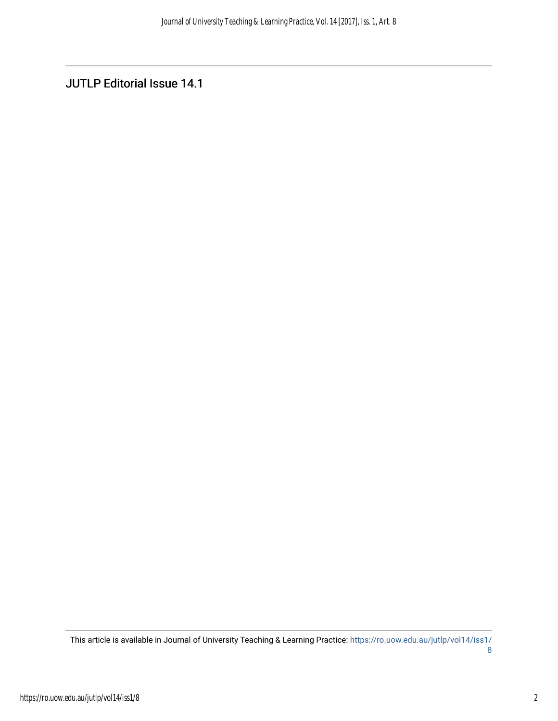JUTLP Editorial Issue 14.1

This article is available in Journal of University Teaching & Learning Practice: [https://ro.uow.edu.au/jutlp/vol14/iss1/](https://ro.uow.edu.au/jutlp/vol14/iss1/8) [8](https://ro.uow.edu.au/jutlp/vol14/iss1/8)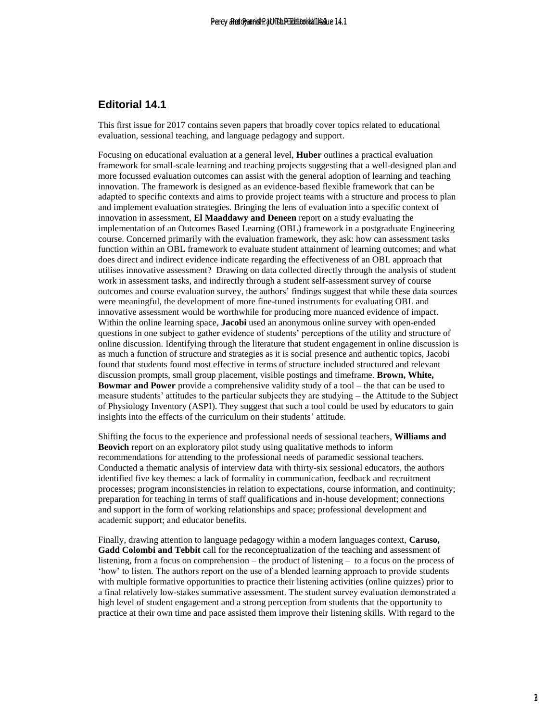### **Editorial 14.1**

This first issue for 2017 contains seven papers that broadly cover topics related to educational evaluation, sessional teaching, and language pedagogy and support.

Focusing on educational evaluation at a general level, **Huber** outlines a practical evaluation framework for small-scale learning and teaching projects suggesting that a well-designed plan and more focussed evaluation outcomes can assist with the general adoption of learning and teaching innovation. The framework is designed as an evidence-based flexible framework that can be adapted to specific contexts and aims to provide project teams with a structure and process to plan and implement evaluation strategies. Bringing the lens of evaluation into a specific context of innovation in assessment, **El Maaddawy and Deneen** report on a study evaluating the implementation of an Outcomes Based Learning (OBL) framework in a postgraduate Engineering course. Concerned primarily with the evaluation framework, they ask: how can assessment tasks function within an OBL framework to evaluate student attainment of learning outcomes; and what does direct and indirect evidence indicate regarding the effectiveness of an OBL approach that utilises innovative assessment? Drawing on data collected directly through the analysis of student work in assessment tasks, and indirectly through a student self-assessment survey of course outcomes and course evaluation survey, the authors' findings suggest that while these data sources were meaningful, the development of more fine-tuned instruments for evaluating OBL and innovative assessment would be worthwhile for producing more nuanced evidence of impact. Within the online learning space, **Jacobi** used an anonymous online survey with open-ended questions in one subject to gather evidence of students' perceptions of the utility and structure of online discussion. Identifying through the literature that student engagement in online discussion is as much a function of structure and strategies as it is social presence and authentic topics, Jacobi found that students found most effective in terms of structure included structured and relevant discussion prompts, small group placement, visible postings and timeframe. **Brown, White, Bowmar and Power** provide a comprehensive validity study of a tool – the that can be used to measure students' attitudes to the particular subjects they are studying – the Attitude to the Subject of Physiology Inventory (ASPI). They suggest that such a tool could be used by educators to gain insights into the effects of the curriculum on their students' attitude. end particle to the control of the control of the control of the state of the transfer and the state of the state of the state of the state of the state of the state of the state of the state of the state of the state of

Shifting the focus to the experience and professional needs of sessional teachers, **Williams and Beovich** report on an exploratory pilot study using qualitative methods to inform recommendations for attending to the professional needs of paramedic sessional teachers. Conducted a thematic analysis of interview data with thirty-six sessional educators, the authors identified five key themes: a lack of formality in communication, feedback and recruitment processes; program inconsistencies in relation to expectations, course information, and continuity; preparation for teaching in terms of staff qualifications and in-house development; connections and support in the form of working relationships and space; professional development and academic support; and educator benefits.

Finally, drawing attention to language pedagogy within a modern languages context, **Caruso, Gadd Colombi and Tebbit** call for the reconceptualization of the teaching and assessment of listening, from a focus on comprehension – the product of listening – to a focus on the process of 'how' to listen. The authors report on the use of a blended learning approach to provide students with multiple formative opportunities to practice their listening activities (online quizzes) prior to a final relatively low-stakes summative assessment. The student survey evaluation demonstrated a high level of student engagement and a strong perception from students that the opportunity to practice at their own time and pace assisted them improve their listening skills. With regard to the